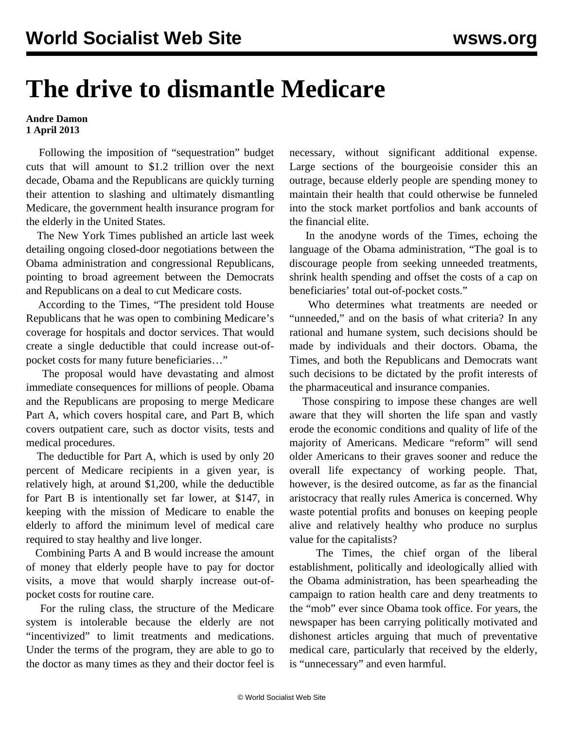## **The drive to dismantle Medicare**

## **Andre Damon 1 April 2013**

 Following the imposition of "sequestration" budget cuts that will amount to \$1.2 trillion over the next decade, Obama and the Republicans are quickly turning their attention to slashing and ultimately dismantling Medicare, the government health insurance program for the elderly in the United States.

 The New York Times published an article last week detailing ongoing closed-door negotiations between the Obama administration and congressional Republicans, pointing to broad agreement between the Democrats and Republicans on a deal to cut Medicare costs.

 According to the Times, "The president told House Republicans that he was open to combining Medicare's coverage for hospitals and doctor services. That would create a single deductible that could increase out-ofpocket costs for many future beneficiaries…"

 The proposal would have devastating and almost immediate consequences for millions of people. Obama and the Republicans are proposing to merge Medicare Part A, which covers hospital care, and Part B, which covers outpatient care, such as doctor visits, tests and medical procedures.

 The deductible for Part A, which is used by only 20 percent of Medicare recipients in a given year, is relatively high, at around \$1,200, while the deductible for Part B is intentionally set far lower, at \$147, in keeping with the mission of Medicare to enable the elderly to afford the minimum level of medical care required to stay healthy and live longer.

 Combining Parts A and B would increase the amount of money that elderly people have to pay for doctor visits, a move that would sharply increase out-ofpocket costs for routine care.

 For the ruling class, the structure of the Medicare system is intolerable because the elderly are not "incentivized" to limit treatments and medications. Under the terms of the program, they are able to go to the doctor as many times as they and their doctor feel is necessary, without significant additional expense. Large sections of the bourgeoisie consider this an outrage, because elderly people are spending money to maintain their health that could otherwise be funneled into the stock market portfolios and bank accounts of the financial elite.

 In the anodyne words of the Times, echoing the language of the Obama administration, "The goal is to discourage people from seeking unneeded treatments, shrink health spending and offset the costs of a cap on beneficiaries' total out-of-pocket costs."

 Who determines what treatments are needed or "unneeded," and on the basis of what criteria? In any rational and humane system, such decisions should be made by individuals and their doctors. Obama, the Times, and both the Republicans and Democrats want such decisions to be dictated by the profit interests of the pharmaceutical and insurance companies.

 Those conspiring to impose these changes are well aware that they will shorten the life span and vastly erode the economic conditions and quality of life of the majority of Americans. Medicare "reform" will send older Americans to their graves sooner and reduce the overall life expectancy of working people. That, however, is the desired outcome, as far as the financial aristocracy that really rules America is concerned. Why waste potential profits and bonuses on keeping people alive and relatively healthy who produce no surplus value for the capitalists?

 The Times, the chief organ of the liberal establishment, politically and ideologically allied with the Obama administration, has been spearheading the campaign to ration health care and deny treatments to the "mob" ever since Obama took office. For years, the newspaper has been carrying politically motivated and dishonest articles arguing that much of preventative medical care, particularly that received by the elderly, is "unnecessary" and even harmful.